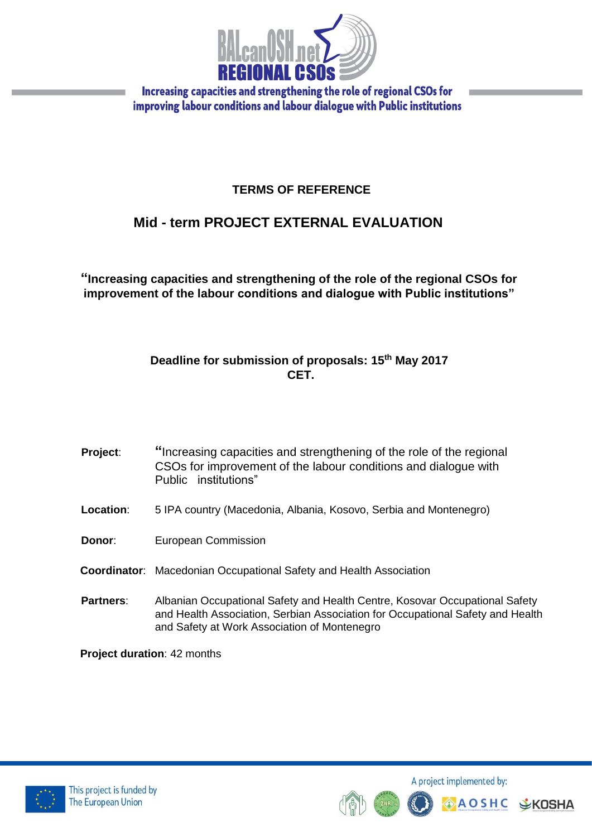

# **TERMS OF REFERENCE**

# **Mid - term PROJECT EXTERNAL EVALUATION**

**"Increasing capacities and strengthening of the role of the regional CSOs for improvement of the labour conditions and dialogue with Public institutions"**

### **Deadline for submission of proposals: 15th May 2017 CET.**

**Project:** "Increasing capacities and strengthening of the role of the regional CSOs for improvement of the labour conditions and dialogue with Public institutions"

- **Location**: 5 IPA country (Macedonia, Albania, Kosovo, Serbia and Montenegro)
- **Donor:** European Commission
- **Coordinator**: Macedonian Occupational Safety and Health Association
- **Partners**: Albanian Occupational Safety and Health Centre, Kosovar Occupational Safety and Health Association, Serbian Association for Occupational Safety and Health and Safety at Work Association of Montenegro

**Project duration**: 42 months



A project implemented by:

**AOSHC** 

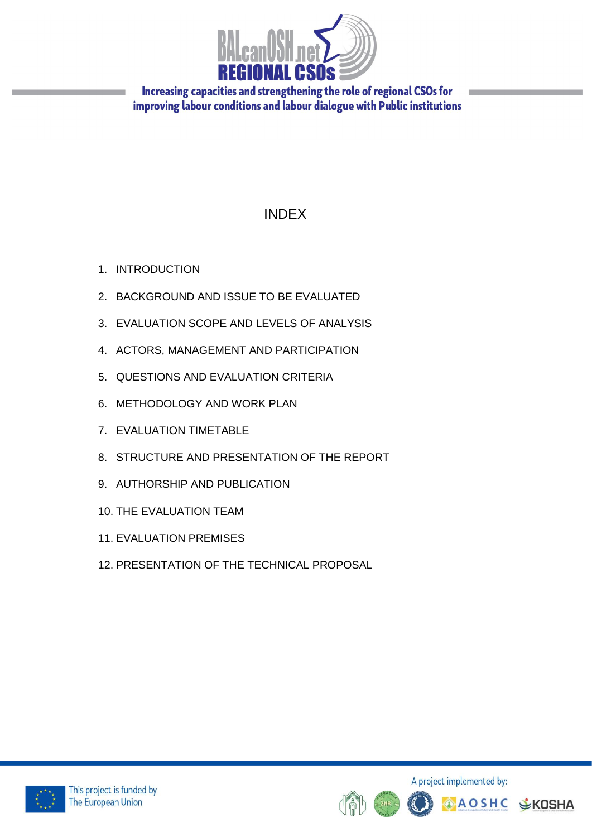

# INDEX

- 1. INTRODUCTION
- 2. BACKGROUND AND ISSUE TO BE EVALUATED
- 3. EVALUATION SCOPE AND LEVELS OF ANALYSIS
- 4. ACTORS, MANAGEMENT AND PARTICIPATION
- 5. QUESTIONS AND EVALUATION CRITERIA
- 6. METHODOLOGY AND WORK PLAN
- 7. EVALUATION TIMETABLE
- 8. STRUCTURE AND PRESENTATION OF THE REPORT
- 9. AUTHORSHIP AND PUBLICATION
- 10. THE EVALUATION TEAM
- 11. EVALUATION PREMISES
- 12. PRESENTATION OF THE TECHNICAL PROPOSAL



A project implemented by: **AOSHC V**KOSHA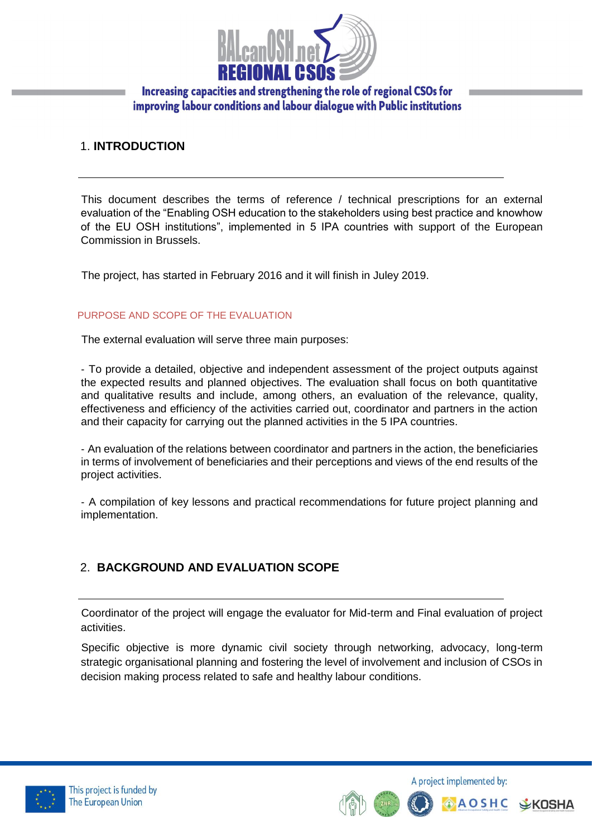

### 1. **INTRODUCTION**

This document describes the terms of reference / technical prescriptions for an external evaluation of the "Enabling OSH education to the stakeholders using best practice and knowhow of the EU OSH institutions", implemented in 5 IPA countries with support of the European Commission in Brussels.

The project, has started in February 2016 and it will finish in Juley 2019.

#### PURPOSE AND SCOPE OF THE EVALUATION

The external evaluation will serve three main purposes:

‐ To provide a detailed, objective and independent assessment of the project outputs against the expected results and planned objectives. The evaluation shall focus on both quantitative and qualitative results and include, among others, an evaluation of the relevance, quality, effectiveness and efficiency of the activities carried out, coordinator and partners in the action and their capacity for carrying out the planned activities in the 5 IPA countries.

‐ An evaluation of the relations between coordinator and partners in the action, the beneficiaries in terms of involvement of beneficiaries and their perceptions and views of the end results of the project activities.

‐ A compilation of key lessons and practical recommendations for future project planning and implementation.

## 2. **BACKGROUND AND EVALUATION SCOPE**

Coordinator of the project will engage the evaluator for Mid-term and Final evaluation of project activities.

Specific objective is more dynamic civil society through networking, advocacy, long-term strategic organisational planning and fostering the level of involvement and inclusion of CSOs in decision making process related to safe and healthy labour conditions.



A project implemented by: **AOSHC**  $E K$ OSHA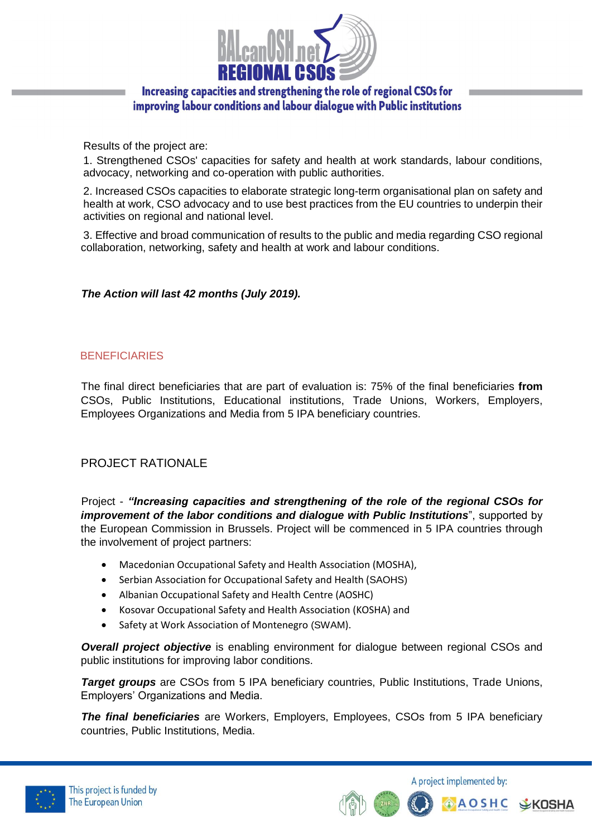

Results of the project are:

1. Strengthened CSOs' capacities for safety and health at work standards, labour conditions, advocacy, networking and co-operation with public authorities.

2. Increased CSOs capacities to elaborate strategic long-term organisational plan on safety and health at work, CSO advocacy and to use best practices from the EU countries to underpin their activities on regional and national level.

3. Effective and broad communication of results to the public and media regarding CSO regional collaboration, networking, safety and health at work and labour conditions.

### *The Action will last 42 months (July 2019).*

### **BENEFICIARIES**

The final direct beneficiaries that are part of evaluation is: 75% of the final beneficiaries **from**  CSOs, Public Institutions, Educational institutions, Trade Unions, Workers, Employers, Employees Organizations and Media from 5 IPA beneficiary countries.

### PROJECT RATIONALE

Project - *"Increasing capacities and strengthening of the role of the regional CSOs for improvement of the labor conditions and dialogue with Public Institutions*", supported by the European Commission in Brussels. Project will be commenced in 5 IPA countries through the involvement of project partners:

- Macedonian Occupational Safety and Health Association (MOSHA),
- Serbian Association for Occupational Safety and Health (SAOHS)
- Albanian Occupational Safety and Health Centre (AOSHC)
- Kosovar Occupational Safety and Health Association (KOSHA) and
- Safety at Work Association of Montenegro (SWAM).

**Overall project objective** is enabling environment for dialogue between regional CSOs and public institutions for improving labor conditions.

**Target groups** are CSOs from 5 IPA beneficiary countries, Public Institutions, Trade Unions, Employers' Organizations and Media.

*The final beneficiaries* are Workers, Employers, Employees, CSOs from 5 IPA beneficiary countries, Public Institutions, Media.



A project implemented by:

**AOSHC**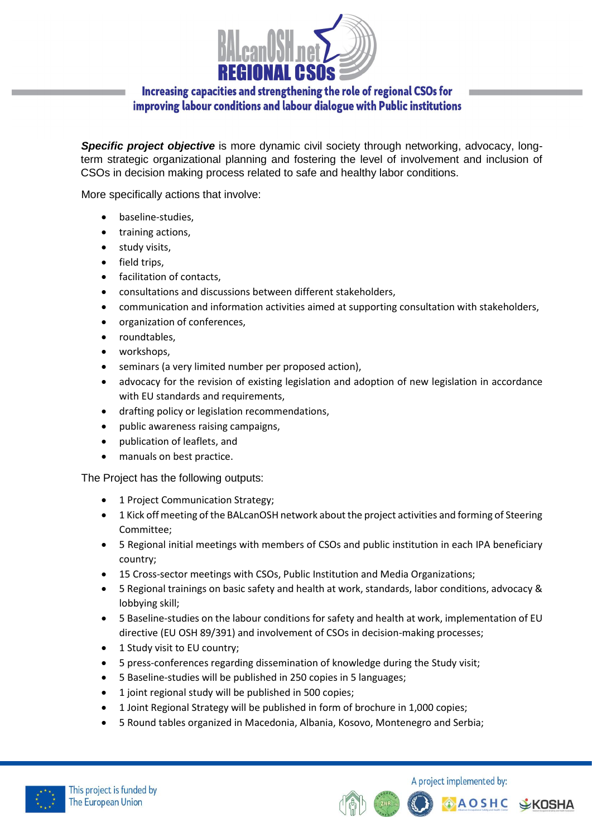

**Specific project objective** is more dynamic civil society through networking, advocacy, longterm strategic organizational planning and fostering the level of involvement and inclusion of CSOs in decision making process related to safe and healthy labor conditions.

More specifically actions that involve:

- baseline-studies,
- training actions,
- study visits,
- field trips.
- facilitation of contacts.
- consultations and discussions between different stakeholders,
- communication and information activities aimed at supporting consultation with stakeholders,
- organization of conferences,
- roundtables,
- workshops,
- seminars (a very limited number per proposed action),
- advocacy for the revision of existing legislation and adoption of new legislation in accordance with EU standards and requirements,
- drafting policy or legislation recommendations,
- public awareness raising campaigns,
- publication of leaflets, and
- manuals on best practice.

The Project has the following outputs:

- 1 Project Communication Strategy;
- 1 Kick off meeting of the BALcanOSH network about the project activities and forming of Steering Committee;
- 5 Regional initial meetings with members of CSOs and public institution in each IPA beneficiary country;
- 15 Cross-sector meetings with CSOs, Public Institution and Media Organizations;
- 5 Regional trainings on basic safety and health at work, standards, labor conditions, advocacy & lobbying skill;
- 5 Baseline-studies on the labour conditions for safety and health at work, implementation of EU directive (EU OSH 89/391) and involvement of CSOs in decision-making processes;
- 1 Study visit to EU country;
- 5 press-conferences regarding dissemination of knowledge during the Study visit;
- 5 Baseline-studies will be published in 250 copies in 5 languages;
- 1 joint regional study will be published in 500 copies;
- 1 Joint Regional Strategy will be published in form of brochure in 1,000 copies;
- 5 Round tables organized in Macedonia, Albania, Kosovo, Montenegro and Serbia;



A project implemented by: **AOSHC** 

**SKOSHA**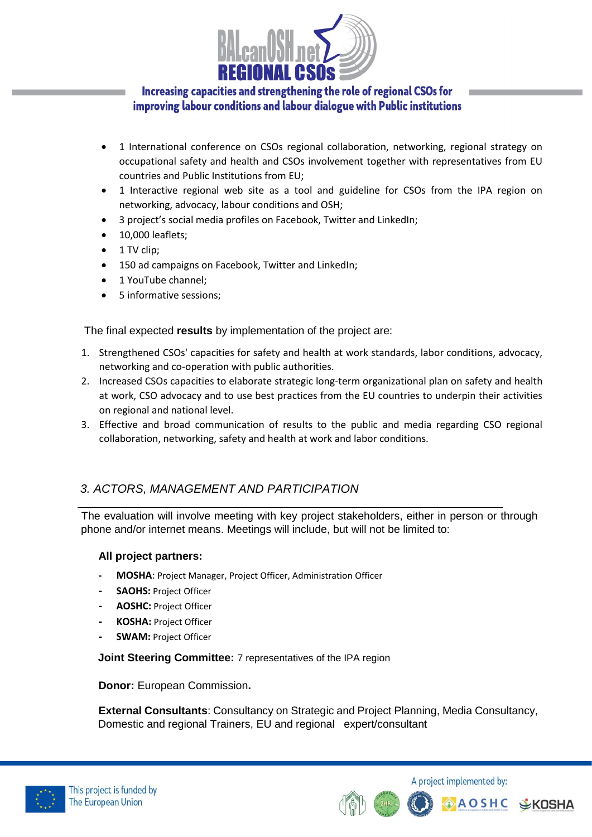

- 1 International conference on CSOs regional collaboration, networking, regional strategy on occupational safety and health and CSOs involvement together with representatives from EU countries and Public Institutions from EU;
- 1 Interactive regional web site as a tool and guideline for CSOs from the IPA region on networking, advocacy, labour conditions and OSH;
- 3 project's social media profiles on Facebook, Twitter and LinkedIn;
- 10,000 leaflets;
- 1 TV clip;
- 150 ad campaigns on Facebook, Twitter and LinkedIn;
- 1 YouTube channel;
- 5 informative sessions;

The final expected **results** by implementation of the project are:

- 1. Strengthened CSOs' capacities for safety and health at work standards, labor conditions, advocacy, networking and co-operation with public authorities.
- 2. Increased CSOs capacities to elaborate strategic long-term organizational plan on safety and health at work, CSO advocacy and to use best practices from the EU countries to underpin their activities on regional and national level.
- 3. Effective and broad communication of results to the public and media regarding CSO regional collaboration, networking, safety and health at work and labor conditions.

## *3. ACTORS, MANAGEMENT AND PARTICIPATION*

The evaluation will involve meeting with key project stakeholders, either in person or through phone and/or internet means. Meetings will include, but will not be limited to:

#### **All project partners:**

- **- MOSHA**: Project Manager, Project Officer, Administration Officer
- **- SAOHS:** Project Officer
- **- AOSHC:** Project Officer
- **- KOSHA:** Project Officer
- **- SWAM:** Project Officer

**Joint Steering Committee:** 7 representatives of the IPA region

**Donor:** European Commission**.**

**External Consultants**: Consultancy on Strategic and Project Planning, Media Consultancy, Domestic and regional Trainers, EU and regional expert/consultant



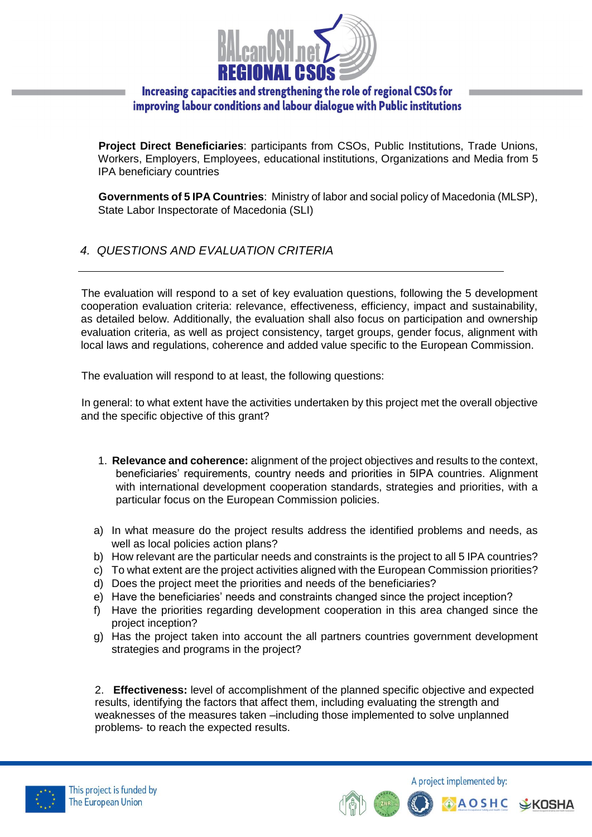

**Project Direct Beneficiaries**: participants from CSOs, Public Institutions, Trade Unions, Workers, Employers, Employees, educational institutions, Organizations and Media from 5 IPA beneficiary countries

**Governments of 5 IPA Countries**: Ministry of labor and social policy of Macedonia (MLSP), State Labor Inspectorate of Macedonia (SLI)

*4. QUESTIONS AND EVALUATION CRITERIA*

The evaluation will respond to a set of key evaluation questions, following the 5 development cooperation evaluation criteria: relevance, effectiveness, efficiency, impact and sustainability, as detailed below. Additionally, the evaluation shall also focus on participation and ownership evaluation criteria, as well as project consistency, target groups, gender focus, alignment with local laws and regulations, coherence and added value specific to the European Commission.

The evaluation will respond to at least, the following questions:

In general: to what extent have the activities undertaken by this project met the overall objective and the specific objective of this grant?

- 1. **Relevance and coherence:** alignment of the project objectives and results to the context, beneficiaries' requirements, country needs and priorities in 5IPA countries. Alignment with international development cooperation standards, strategies and priorities, with a particular focus on the European Commission policies.
- a) In what measure do the project results address the identified problems and needs, as well as local policies action plans?
- b) How relevant are the particular needs and constraints is the project to all 5 IPA countries?
- c) To what extent are the project activities aligned with the European Commission priorities?
- d) Does the project meet the priorities and needs of the beneficiaries?
- e) Have the beneficiaries' needs and constraints changed since the project inception?
- f) Have the priorities regarding development cooperation in this area changed since the project inception?
- g) Has the project taken into account the all partners countries government development strategies and programs in the project?

2. **Effectiveness:** level of accomplishment of the planned specific objective and expected results, identifying the factors that affect them, including evaluating the strength and weaknesses of the measures taken –including those implemented to solve unplanned problems‐ to reach the expected results.



A project implemented by:

**A O S H C**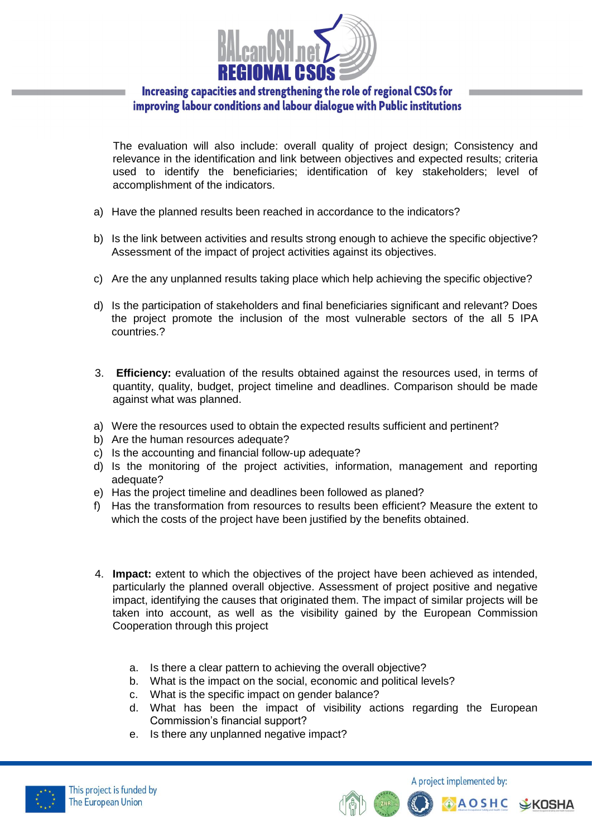

The evaluation will also include: overall quality of project design; Consistency and relevance in the identification and link between objectives and expected results; criteria used to identify the beneficiaries; identification of key stakeholders; level of accomplishment of the indicators.

- a) Have the planned results been reached in accordance to the indicators?
- b) Is the link between activities and results strong enough to achieve the specific objective? Assessment of the impact of project activities against its objectives.
- c) Are the any unplanned results taking place which help achieving the specific objective?
- d) Is the participation of stakeholders and final beneficiaries significant and relevant? Does the project promote the inclusion of the most vulnerable sectors of the all 5 IPA countries.?
- 3. **Efficiency:** evaluation of the results obtained against the resources used, in terms of quantity, quality, budget, project timeline and deadlines. Comparison should be made against what was planned.
- a) Were the resources used to obtain the expected results sufficient and pertinent?
- b) Are the human resources adequate?
- c) Is the accounting and financial follow‐up adequate?
- d) Is the monitoring of the project activities, information, management and reporting adequate?
- e) Has the project timeline and deadlines been followed as planed?
- f) Has the transformation from resources to results been efficient? Measure the extent to which the costs of the project have been justified by the benefits obtained.
- 4. **Impact:** extent to which the objectives of the project have been achieved as intended, particularly the planned overall objective. Assessment of project positive and negative impact, identifying the causes that originated them. The impact of similar projects will be taken into account, as well as the visibility gained by the European Commission Cooperation through this project
	- a. Is there a clear pattern to achieving the overall objective?
	- b. What is the impact on the social, economic and political levels?
	- c. What is the specific impact on gender balance?
	- d. What has been the impact of visibility actions regarding the European Commission's financial support?
	- e. Is there any unplanned negative impact?



A project implemented by:

**AOSHC**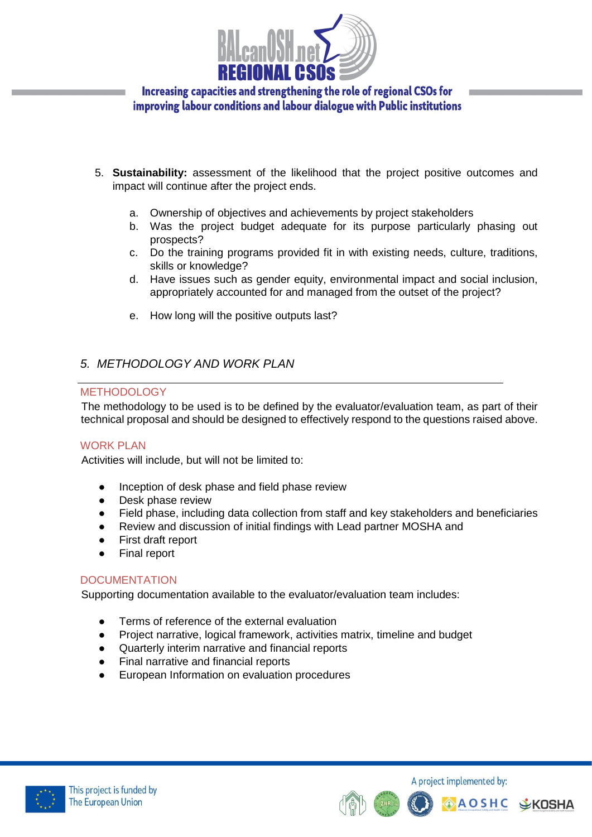

- 5. **Sustainability:** assessment of the likelihood that the project positive outcomes and impact will continue after the project ends.
	- a. Ownership of objectives and achievements by project stakeholders
	- b. Was the project budget adequate for its purpose particularly phasing out prospects?
	- c. Do the training programs provided fit in with existing needs, culture, traditions, skills or knowledge?
	- d. Have issues such as gender equity, environmental impact and social inclusion, appropriately accounted for and managed from the outset of the project?
	- e. How long will the positive outputs last?

# *5. METHODOLOGY AND WORK PLAN*

#### METHODOLOGY

The methodology to be used is to be defined by the evaluator/evaluation team, as part of their technical proposal and should be designed to effectively respond to the questions raised above.

#### WORK PLAN

Activities will include, but will not be limited to:

- Inception of desk phase and field phase review
- Desk phase review
- Field phase, including data collection from staff and key stakeholders and beneficiaries
- Review and discussion of initial findings with Lead partner MOSHA and
- First draft report
- **Final report**

#### **DOCUMENTATION**

Supporting documentation available to the evaluator/evaluation team includes:

- Terms of reference of the external evaluation
- Project narrative, logical framework, activities matrix, timeline and budget
- Quarterly interim narrative and financial reports
- Final narrative and financial reports
- European Information on evaluation procedures





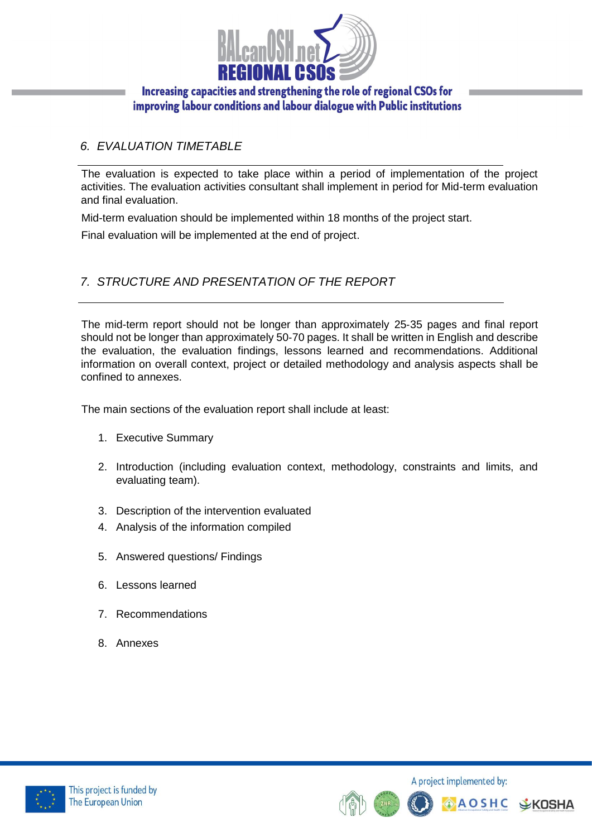

# *6. EVALUATION TIMETABLE*

The evaluation is expected to take place within a period of implementation of the project activities. The evaluation activities consultant shall implement in period for Mid-term evaluation and final evaluation.

Mid-term evaluation should be implemented within 18 months of the project start.

Final evaluation will be implemented at the end of project.

# *7. STRUCTURE AND PRESENTATION OF THE REPORT*

The mid-term report should not be longer than approximately 25‐35 pages and final report should not be longer than approximately 50‐70 pages. It shall be written in English and describe the evaluation, the evaluation findings, lessons learned and recommendations. Additional information on overall context, project or detailed methodology and analysis aspects shall be confined to annexes.

The main sections of the evaluation report shall include at least:

- 1. Executive Summary
- 2. Introduction (including evaluation context, methodology, constraints and limits, and evaluating team).
- 3. Description of the intervention evaluated
- 4. Analysis of the information compiled
- 5. Answered questions/ Findings
- 6. Lessons learned
- 7. Recommendations
- 8. Annexes



A project implemented by: **AOSHC**  $E K$ OSHA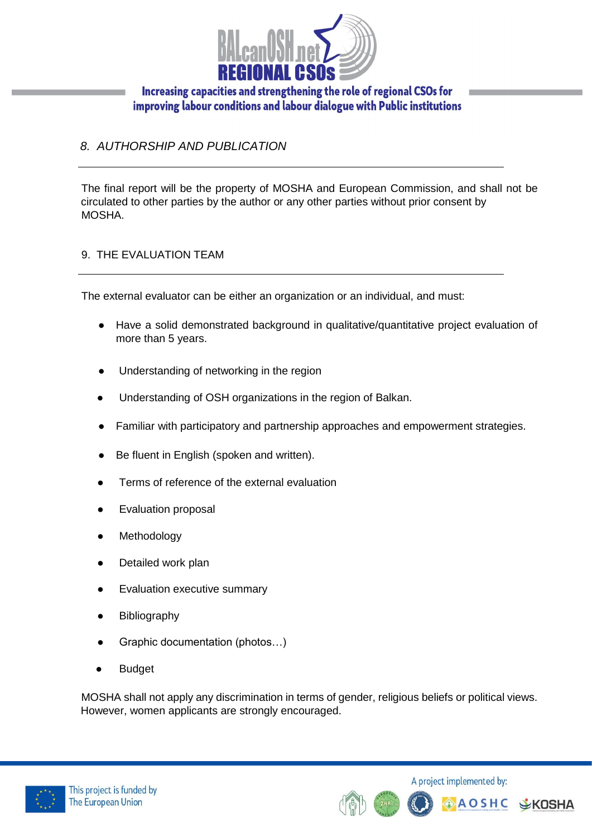

# *8. AUTHORSHIP AND PUBLICATION*

The final report will be the property of MOSHA and European Commission, and shall not be circulated to other parties by the author or any other parties without prior consent by MOSHA.

#### 9. THE EVALUATION TEAM

The external evaluator can be either an organization or an individual, and must:

- Have a solid demonstrated background in qualitative/quantitative project evaluation of more than 5 years.
- Understanding of networking in the region
- Understanding of OSH organizations in the region of Balkan.
- Familiar with participatory and partnership approaches and empowerment strategies.
- Be fluent in English (spoken and written).
- Terms of reference of the external evaluation
- **Evaluation proposal**
- Methodology
- Detailed work plan
- **Evaluation executive summary**
- **Bibliography**
- Graphic documentation (photos...)
- **Budget**

MOSHA shall not apply any discrimination in terms of gender, religious beliefs or political views. However, women applicants are strongly encouraged.



A project implemented by: **AOSHC**  $E K$ OSHA